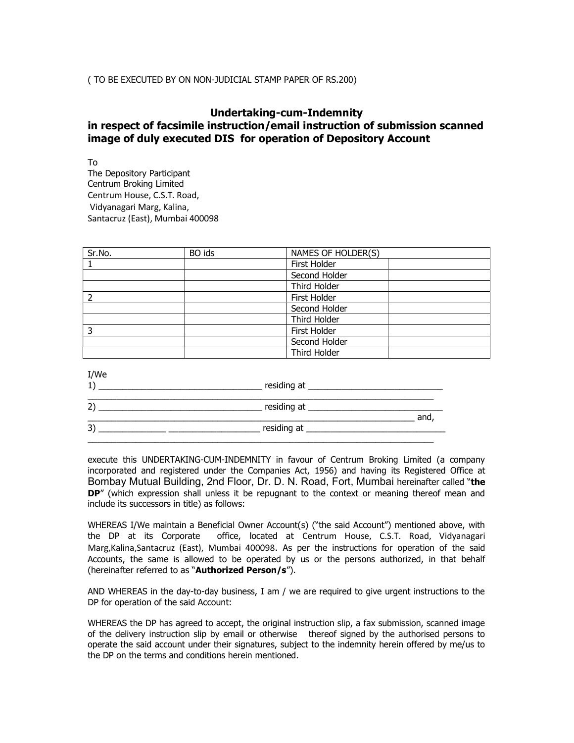## Undertaking-cum-Indemnity in respect of facsimile instruction/email instruction of submission scanned image of duly executed DIS for operation of Depository Account

To The Depository Participant Centrum Broking Limited Centrum House, C.S.T. Road, Vidyanagari Marg, Kalina, Santacruz (East), Mumbai 400098

| Sr.No. | BO ids | NAMES OF HOLDER(S) |
|--------|--------|--------------------|
|        |        | First Holder       |
|        |        | Second Holder      |
|        |        | Third Holder       |
|        |        | First Holder       |
|        |        | Second Holder      |
|        |        | Third Holder       |
|        |        | First Holder       |
|        |        | Second Holder      |
|        |        | Third Holder       |

| I/We | residing at |      |
|------|-------------|------|
|      |             | and, |
|      |             |      |

execute this UNDERTAKING-CUM-INDEMNITY in favour of Centrum Broking Limited (a company incorporated and registered under the Companies Act, 1956) and having its Registered Office at Bombay Mutual Building, 2nd Floor, Dr. D. N. Road, Fort, Mumbai hereinafter called "the DP" (which expression shall unless it be repugnant to the context or meaning thereof mean and include its successors in title) as follows:

WHEREAS I/We maintain a Beneficial Owner Account(s) ("the said Account") mentioned above, with the DP at its Corporate office, located at Centrum House, C.S.T. Road, Vidyanagari Marg,Kalina,Santacruz (East), Mumbai 400098. As per the instructions for operation of the said Accounts, the same is allowed to be operated by us or the persons authorized, in that behalf (hereinafter referred to as "Authorized Person/s").

AND WHEREAS in the day-to-day business, I am / we are required to give urgent instructions to the DP for operation of the said Account:

WHEREAS the DP has agreed to accept, the original instruction slip, a fax submission, scanned image of the delivery instruction slip by email or otherwise thereof signed by the authorised persons to operate the said account under their signatures, subject to the indemnity herein offered by me/us to the DP on the terms and conditions herein mentioned.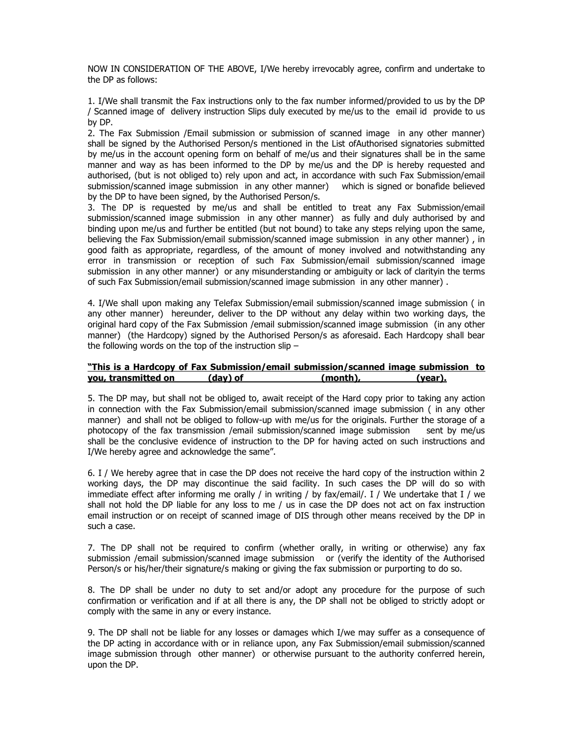NOW IN CONSIDERATION OF THE ABOVE, I/We hereby irrevocably agree, confirm and undertake to the DP as follows:

1. I/We shall transmit the Fax instructions only to the fax number informed/provided to us by the DP / Scanned image of delivery instruction Slips duly executed by me/us to the email id provide to us by DP.

2. The Fax Submission /Email submission or submission of scanned image in any other manner) shall be signed by the Authorised Person/s mentioned in the List ofAuthorised signatories submitted by me/us in the account opening form on behalf of me/us and their signatures shall be in the same manner and way as has been informed to the DP by me/us and the DP is hereby requested and authorised, (but is not obliged to) rely upon and act, in accordance with such Fax Submission/email submission/scanned image submission in any other manner) which is signed or bonafide believed by the DP to have been signed, by the Authorised Person/s.

3. The DP is requested by me/us and shall be entitled to treat any Fax Submission/email submission/scanned image submission in any other manner) as fully and duly authorised by and binding upon me/us and further be entitled (but not bound) to take any steps relying upon the same, believing the Fax Submission/email submission/scanned image submission in any other manner) , in good faith as appropriate, regardless, of the amount of money involved and notwithstanding any error in transmission or reception of such Fax Submission/email submission/scanned image submission in any other manner) or any misunderstanding or ambiguity or lack of clarityin the terms of such Fax Submission/email submission/scanned image submission in any other manner) .

4. I/We shall upon making any Telefax Submission/email submission/scanned image submission ( in any other manner) hereunder, deliver to the DP without any delay within two working days, the original hard copy of the Fax Submission /email submission/scanned image submission (in any other manner) (the Hardcopy) signed by the Authorised Person/s as aforesaid. Each Hardcopy shall bear the following words on the top of the instruction slip –

## "This is a Hardcopy of Fax Submission/email submission/scanned image submission to you, transmitted on (day) of  $($  (month),  $($  vear).

5. The DP may, but shall not be obliged to, await receipt of the Hard copy prior to taking any action in connection with the Fax Submission/email submission/scanned image submission ( in any other manner) and shall not be obliged to follow-up with me/us for the originals. Further the storage of a photocopy of the fax transmission /email submission/scanned image submission sent by me/us shall be the conclusive evidence of instruction to the DP for having acted on such instructions and I/We hereby agree and acknowledge the same".

6. I / We hereby agree that in case the DP does not receive the hard copy of the instruction within 2 working days, the DP may discontinue the said facility. In such cases the DP will do so with immediate effect after informing me orally / in writing / by fax/email/. I / We undertake that I / we shall not hold the DP liable for any loss to me / us in case the DP does not act on fax instruction email instruction or on receipt of scanned image of DIS through other means received by the DP in such a case.

7. The DP shall not be required to confirm (whether orally, in writing or otherwise) any fax submission /email submission/scanned image submission or (verify the identity of the Authorised Person/s or his/her/their signature/s making or giving the fax submission or purporting to do so.

8. The DP shall be under no duty to set and/or adopt any procedure for the purpose of such confirmation or verification and if at all there is any, the DP shall not be obliged to strictly adopt or comply with the same in any or every instance.

9. The DP shall not be liable for any losses or damages which I/we may suffer as a consequence of the DP acting in accordance with or in reliance upon, any Fax Submission/email submission/scanned image submission through other manner) or otherwise pursuant to the authority conferred herein, upon the DP.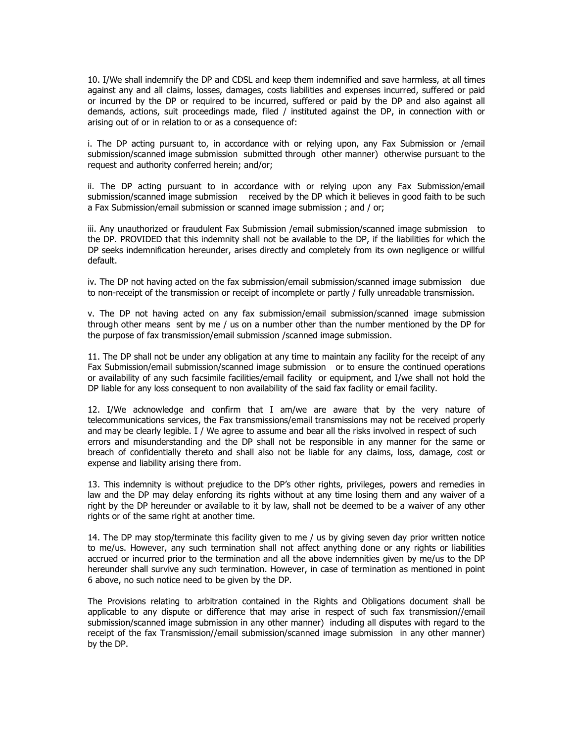10. I/We shall indemnify the DP and CDSL and keep them indemnified and save harmless, at all times against any and all claims, losses, damages, costs liabilities and expenses incurred, suffered or paid or incurred by the DP or required to be incurred, suffered or paid by the DP and also against all demands, actions, suit proceedings made, filed / instituted against the DP, in connection with or arising out of or in relation to or as a consequence of:

i. The DP acting pursuant to, in accordance with or relying upon, any Fax Submission or /email submission/scanned image submission submitted through other manner) otherwise pursuant to the request and authority conferred herein; and/or;

ii. The DP acting pursuant to in accordance with or relying upon any Fax Submission/email submission/scanned image submission received by the DP which it believes in good faith to be such a Fax Submission/email submission or scanned image submission ; and / or;

iii. Any unauthorized or fraudulent Fax Submission /email submission/scanned image submission to the DP. PROVIDED that this indemnity shall not be available to the DP, if the liabilities for which the DP seeks indemnification hereunder, arises directly and completely from its own negligence or willful default.

iv. The DP not having acted on the fax submission/email submission/scanned image submission due to non-receipt of the transmission or receipt of incomplete or partly / fully unreadable transmission.

v. The DP not having acted on any fax submission/email submission/scanned image submission through other means sent by me / us on a number other than the number mentioned by the DP for the purpose of fax transmission/email submission /scanned image submission.

11. The DP shall not be under any obligation at any time to maintain any facility for the receipt of any Fax Submission/email submission/scanned image submission or to ensure the continued operations or availability of any such facsimile facilities/email facility or equipment, and I/we shall not hold the DP liable for any loss consequent to non availability of the said fax facility or email facility.

12. I/We acknowledge and confirm that I am/we are aware that by the very nature of telecommunications services, the Fax transmissions/email transmissions may not be received properly and may be clearly legible. I / We agree to assume and bear all the risks involved in respect of such errors and misunderstanding and the DP shall not be responsible in any manner for the same or breach of confidentially thereto and shall also not be liable for any claims, loss, damage, cost or expense and liability arising there from.

13. This indemnity is without prejudice to the DP's other rights, privileges, powers and remedies in law and the DP may delay enforcing its rights without at any time losing them and any waiver of a right by the DP hereunder or available to it by law, shall not be deemed to be a waiver of any other rights or of the same right at another time.

14. The DP may stop/terminate this facility given to me / us by giving seven day prior written notice to me/us. However, any such termination shall not affect anything done or any rights or liabilities accrued or incurred prior to the termination and all the above indemnities given by me/us to the DP hereunder shall survive any such termination. However, in case of termination as mentioned in point 6 above, no such notice need to be given by the DP.

The Provisions relating to arbitration contained in the Rights and Obligations document shall be applicable to any dispute or difference that may arise in respect of such fax transmission//email submission/scanned image submission in any other manner) including all disputes with regard to the receipt of the fax Transmission//email submission/scanned image submission in any other manner) by the DP.